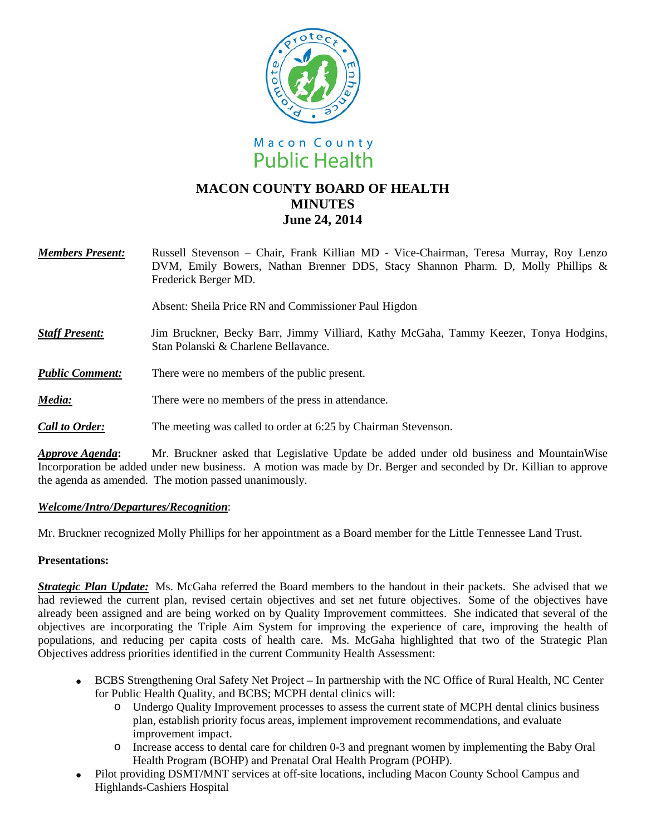



# **MACON COUNTY BOARD OF HEALTH MINUTES June 24, 2014**

*Members Present:* Russell Stevenson – Chair, Frank Killian MD - Vice-Chairman, Teresa Murray, Roy Lenzo DVM, Emily Bowers, Nathan Brenner DDS, Stacy Shannon Pharm. D, Molly Phillips & Frederick Berger MD.

Absent: Sheila Price RN and Commissioner Paul Higdon

- *Staff Present:*Jim Bruckner, Becky Barr, Jimmy Villiard, Kathy McGaha, Tammy Keezer, Tonya Hodgins, Stan Polanski & Charlene Bellavance.
- *Public Comment:* There were no members of the public present.
- *Media:* There were no members of the press in attendance.
- *Call to Order:* The meeting was called to order at 6:25 by Chairman Stevenson.

*Approve Agenda***:** Mr. Bruckner asked that Legislative Update be added under old business and MountainWise Incorporation be added under new business. A motion was made by Dr. Berger and seconded by Dr. Killian to approve the agenda as amended. The motion passed unanimously.

#### *Welcome/Intro/Departures/Recognition*:

Mr. Bruckner recognized Molly Phillips for her appointment as a Board member for the Little Tennessee Land Trust.

#### **Presentations:**

*Strategic Plan Update:* Ms. McGaha referred the Board members to the handout in their packets. She advised that we had reviewed the current plan, revised certain objectives and set net future objectives. Some of the objectives have already been assigned and are being worked on by Quality Improvement committees. She indicated that several of the objectives are incorporating the Triple Aim System for improving the experience of care, improving the health of populations, and reducing per capita costs of health care. Ms. McGaha highlighted that two of the Strategic Plan Objectives address priorities identified in the current Community Health Assessment:

- BCBS Strengthening Oral Safety Net Project In partnership with the NC Office of Rural Health, NC Center for Public Health Quality, and BCBS; MCPH dental clinics will:
	- o Undergo Quality Improvement processes to assess the current state of MCPH dental clinics business plan, establish priority focus areas, implement improvement recommendations, and evaluate improvement impact.
	- o Increase access to dental care for children 0-3 and pregnant women by implementing the Baby Oral Health Program (BOHP) and Prenatal Oral Health Program (POHP).
- Pilot providing DSMT/MNT services at off-site locations, including Macon County School Campus and Highlands-Cashiers Hospital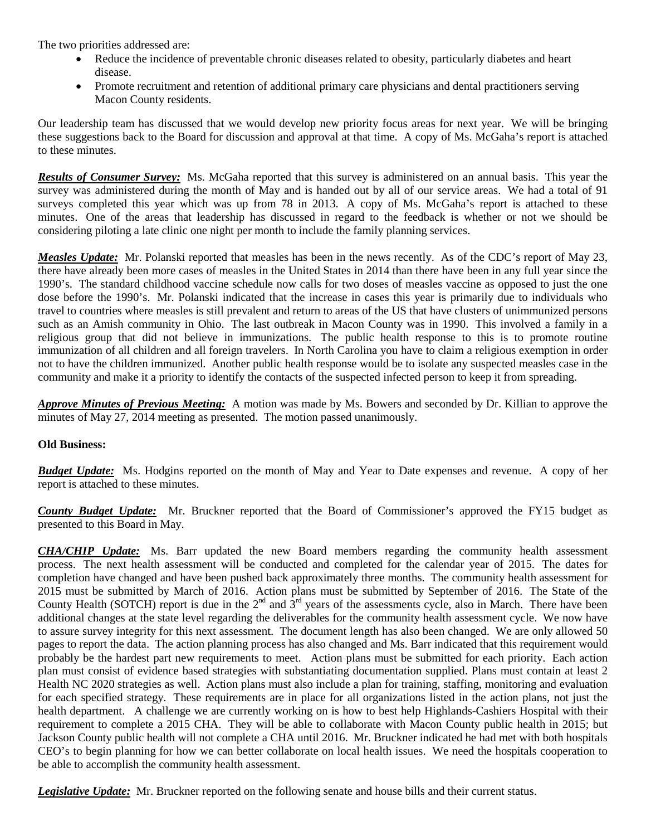The two priorities addressed are:

- Reduce the incidence of preventable chronic diseases related to obesity, particularly diabetes and heart disease.
- Promote recruitment and retention of additional primary care physicians and dental practitioners serving Macon County residents.

Our leadership team has discussed that we would develop new priority focus areas for next year. We will be bringing these suggestions back to the Board for discussion and approval at that time. A copy of Ms. McGaha's report is attached to these minutes.

*Results of Consumer Survey:* Ms. McGaha reported that this survey is administered on an annual basis. This year the survey was administered during the month of May and is handed out by all of our service areas. We had a total of 91 surveys completed this year which was up from 78 in 2013. A copy of Ms. McGaha's report is attached to these minutes. One of the areas that leadership has discussed in regard to the feedback is whether or not we should be considering piloting a late clinic one night per month to include the family planning services.

*Measles Update:* Mr. Polanski reported that measles has been in the news recently. As of the CDC's report of May 23, there have already been more cases of measles in the United States in 2014 than there have been in any full year since the 1990's. The standard childhood vaccine schedule now calls for two doses of measles vaccine as opposed to just the one dose before the 1990's. Mr. Polanski indicated that the increase in cases this year is primarily due to individuals who travel to countries where measles is still prevalent and return to areas of the US that have clusters of unimmunized persons such as an Amish community in Ohio. The last outbreak in Macon County was in 1990. This involved a family in a religious group that did not believe in immunizations. The public health response to this is to promote routine immunization of all children and all foreign travelers. In North Carolina you have to claim a religious exemption in order not to have the children immunized. Another public health response would be to isolate any suspected measles case in the community and make it a priority to identify the contacts of the suspected infected person to keep it from spreading.

*Approve Minutes of Previous Meeting:* A motion was made by Ms. Bowers and seconded by Dr. Killian to approve the minutes of May 27, 2014 meeting as presented. The motion passed unanimously.

## **Old Business:**

*Budget Update:* Ms. Hodgins reported on the month of May and Year to Date expenses and revenue. A copy of her report is attached to these minutes.

*County Budget Update:* Mr. Bruckner reported that the Board of Commissioner's approved the FY15 budget as presented to this Board in May.

*CHA/CHIP Update:* Ms. Barr updated the new Board members regarding the community health assessment process. The next health assessment will be conducted and completed for the calendar year of 2015. The dates for completion have changed and have been pushed back approximately three months. The community health assessment for 2015 must be submitted by March of 2016. Action plans must be submitted by September of 2016. The State of the County Health (SOTCH) report is due in the  $2<sup>nd</sup>$  and  $3<sup>rd</sup>$  years of the assessments cycle, also in March. There have been additional changes at the state level regarding the deliverables for the community health assessment cycle. We now have to assure survey integrity for this next assessment. The document length has also been changed. We are only allowed 50 pages to report the data. The action planning process has also changed and Ms. Barr indicated that this requirement would probably be the hardest part new requirements to meet. Action plans must be submitted for each priority. Each action plan must consist of evidence based strategies with substantiating documentation supplied. Plans must contain at least 2 Health NC 2020 strategies as well. Action plans must also include a plan for training, staffing, monitoring and evaluation for each specified strategy. These requirements are in place for all organizations listed in the action plans, not just the health department. A challenge we are currently working on is how to best help Highlands-Cashiers Hospital with their requirement to complete a 2015 CHA. They will be able to collaborate with Macon County public health in 2015; but Jackson County public health will not complete a CHA until 2016. Mr. Bruckner indicated he had met with both hospitals CEO's to begin planning for how we can better collaborate on local health issues. We need the hospitals cooperation to be able to accomplish the community health assessment.

*Legislative Update:* Mr. Bruckner reported on the following senate and house bills and their current status.